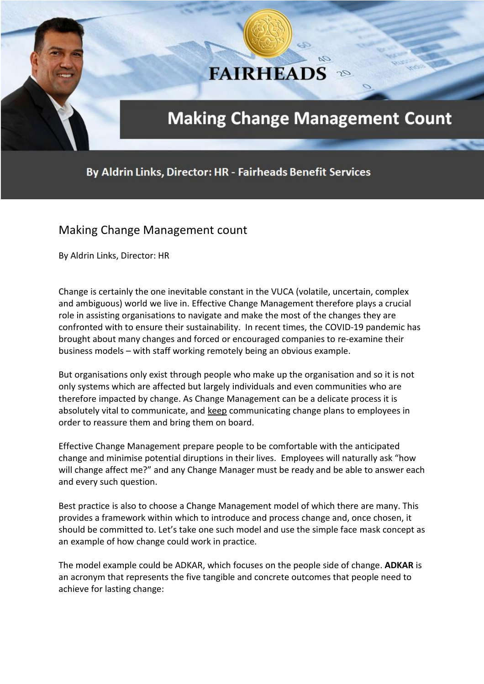# **FAIRHEADS**

# **Making Change Management Count**

Qa

By Aldrin Links, Director: HR - Fairheads Benefit Services

## Making Change Management count

By Aldrin Links, Director: HR

Change is certainly the one inevitable constant in the VUCA (volatile, uncertain, complex and ambiguous) world we live in. Effective Change Management therefore plays a crucial role in assisting organisations to navigate and make the most of the changes they are confronted with to ensure their sustainability. In recent times, the COVID-19 pandemic has brought about many changes and forced or encouraged companies to re-examine their business models – with staff working remotely being an obvious example.

But organisations only exist through people who make up the organisation and so it is not only systems which are affected but largely individuals and even communities who are therefore impacted by change. As Change Management can be a delicate process it is absolutely vital to communicate, and keep communicating change plans to employees in order to reassure them and bring them on board.

Effective Change Management prepare people to be comfortable with the anticipated change and minimise potential diruptions in their lives. Employees will naturally ask "how will change affect me?" and any Change Manager must be ready and be able to answer each and every such question.

Best practice is also to choose a Change Management model of which there are many. This provides a framework within which to introduce and process change and, once chosen, it should be committed to. Let's take one such model and use the simple face mask concept as an example of how change could work in practice.

The model example could be ADKAR, which focuses on the people side of change. **ADKAR** is an acronym that represents the five tangible and concrete outcomes that people need to achieve for lasting change: